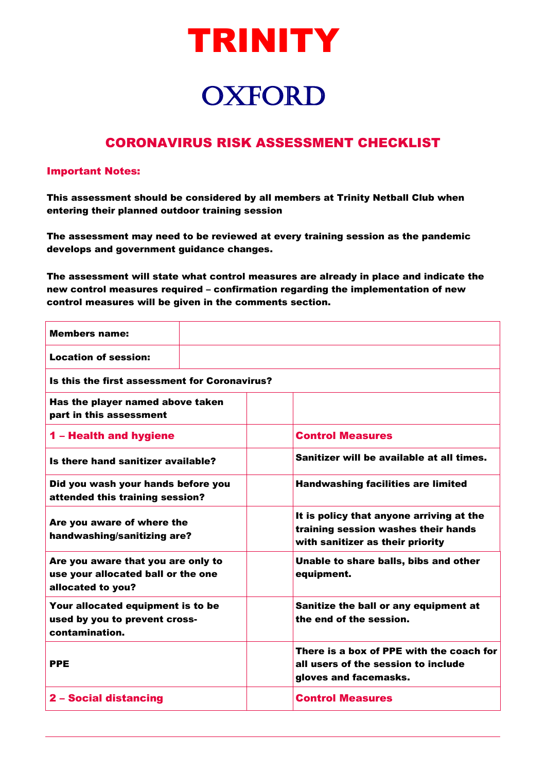

## **OXFORD**

## CORONAVIRUS RISK ASSESSMENT CHECKLIST  $\overline{a}$

## Important Notes:

This assessment should be considered by all members at Trinity Netball Club when entering their planned outdoor training session

The assessment may need to be reviewed at every training session as the pandemic develops and government guidance changes.

The assessment will state what control measures are already in place and indicate the new control measures required – confirmation regarding the implementation of new control measures will be given in the comments section.

| <b>Members name:</b>                                                                          |                                                                                                                     |  |  |
|-----------------------------------------------------------------------------------------------|---------------------------------------------------------------------------------------------------------------------|--|--|
| <b>Location of session:</b>                                                                   |                                                                                                                     |  |  |
| Is this the first assessment for Coronavirus?                                                 |                                                                                                                     |  |  |
| Has the player named above taken<br>part in this assessment                                   |                                                                                                                     |  |  |
| 1 - Health and hygiene                                                                        | <b>Control Measures</b>                                                                                             |  |  |
| Is there hand sanitizer available?                                                            | Sanitizer will be available at all times.                                                                           |  |  |
| Did you wash your hands before you<br>attended this training session?                         | <b>Handwashing facilities are limited</b>                                                                           |  |  |
| Are you aware of where the<br>handwashing/sanitizing are?                                     | It is policy that anyone arriving at the<br>training session washes their hands<br>with sanitizer as their priority |  |  |
| Are you aware that you are only to<br>use your allocated ball or the one<br>allocated to you? | Unable to share balls, bibs and other<br>equipment.                                                                 |  |  |
| Your allocated equipment is to be<br>used by you to prevent cross-<br>contamination.          | Sanitize the ball or any equipment at<br>the end of the session.                                                    |  |  |
| <b>PPE</b>                                                                                    | There is a box of PPE with the coach for<br>all users of the session to include<br>gloves and facemasks.            |  |  |
| 2 - Social distancing                                                                         | <b>Control Measures</b>                                                                                             |  |  |